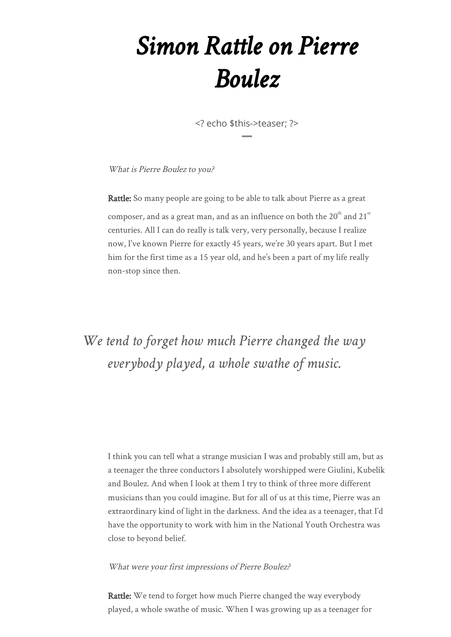# *Simon Rattle on Pierre Boulez*

<? echo \$this->teaser; ?>

What is Pierre Boulez to you?

Rattle: So many people are going to be able to talk about Pierre as a great composer, and as a great man, and as an influence on both the  $20<sup>th</sup>$  and  $21<sup>st</sup>$ centuries. All I can do really is talk very, very personally, because I realize now, I've known Pierre for exactly 45 years, we're 30 years apart. But I met him for the first time as a 15 year old, and he's been a part of my life really non-stop since then.

### *We tend to forget how much Pierre changed the way everybody played, a whole swathe of music.*

I think you can tell what a strange musician I was and probably still am, but as a teenager the three conductors I absolutely worshipped were Giulini, Kubelík and Boulez. And when I look at them I try to think of three more different musicians than you could imagine. But for all of us at this time, Pierre was an extraordinary kind of light in the darkness. And the idea as a teenager, that I'd have the opportunity to work with him in the National Youth Orchestra was close to beyond belief.

What were your first impressions of Pierre Boulez?

Rattle: We tend to forget how much Pierre changed the way everybody played, a whole swathe of music. When I was growing up as a teenager for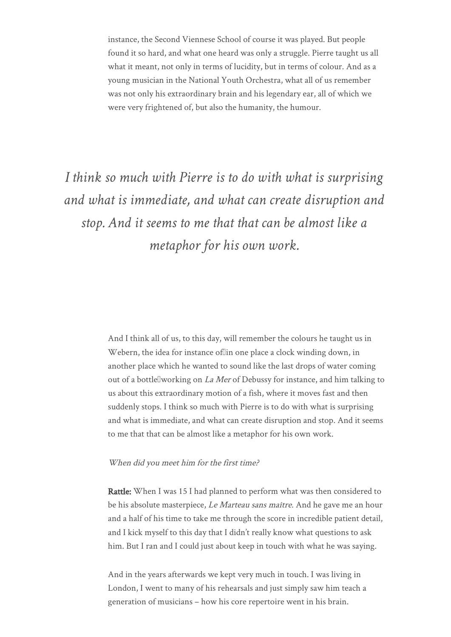instance, the Second Viennese School of course it was played. But people found it so hard, and what one heard was only a struggle. Pierre taught us all what it meant, not only in terms of lucidity, but in terms of colour. And as a young musician in the National Youth Orchestra, what all of us remember was not only his extraordinary brain and his legendary ear, all of which we were very frightened of, but also the humanity, the humour.

## *I think so much with Pierre is to do with what is surprising and what is immediate, and what can create disruption and stop. And it seems to me that that can be almost like a metaphor for his own work.*

And I think all of us, to this day, will remember the colours he taught us in Webern, the idea for instance ofllin one place a clock winding down, in another place which he wanted to sound like the last drops of water coming out of a bottle<sup>n</sup>working on *La Mer* of Debussy for instance, and him talking to us about this extraordinary motion of a fish, where it moves fast and then suddenly stops. I think so much with Pierre is to do with what is surprising and what is immediate, and what can create disruption and stop. And it seems to me that that can be almost like a metaphor for his own work.

#### When did you meet him for the first time?

Rattle: When I was 15 I had planned to perform what was then considered to be his absolute masterpiece, Le Marteau sans maître. And he gave me an hour and a half of his time to take me through the score in incredible patient detail, and I kick myself to this day that I didn't really know what questions to ask him. But I ran and I could just about keep in touch with what he was saying.

And in the years afterwards we kept very much in touch. I was living in London, I went to many of his rehearsals and just simply saw him teach a generation of musicians – how his core repertoire went in his brain.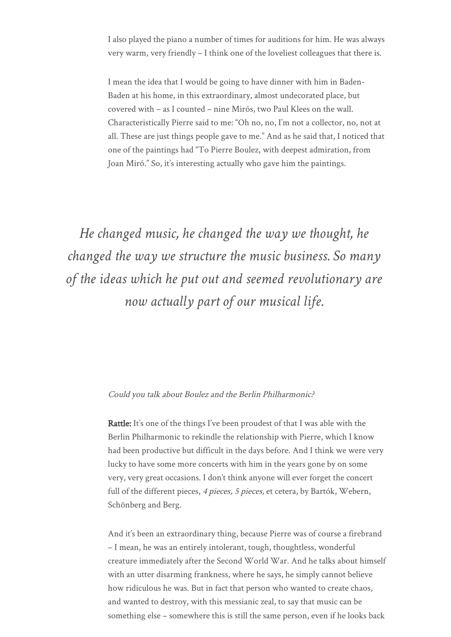I also played the piano a number of times for auditions for him. He was always very warm, very friendly – I think one of the loveliest colleagues that there is.

I mean the idea that I would be going to have dinner with him in Baden-Baden at his home, in this extraordinary, almost undecorated place, but covered with – as I counted – nine Mirós, two Paul Klees on the wall. Characteristically Pierre said to me: "Oh no, no, I'm not a collector, no, not at all. These are just things people gave to me." And as he said that, I noticed that one of the paintings had "To Pierre Boulez, with deepest admiration, from Joan Miró." So, it's interesting actually who gave him the paintings.

*He changed music, he changed the way we thought, he changed the way we structure the music business. So many of the ideas which he put out and seemed revolutionary are now actually part of our musical life.*

#### Could you talk about Boulez and the Berlin Philharmonic?

Rattle: It's one of the things I've been proudest of that I was able with the Berlin Philharmonic to rekindle the relationship with Pierre, which I know had been productive but difficult in the days before. And I think we were very lucky to have some more concerts with him in the years gone by on some very, very great occasions. I don't think anyone will ever forget the concert full of the different pieces, 4 pieces, 5 pieces, et cetera, by Bartók, Webern, Schönberg and Berg.

And it's been an extraordinary thing, because Pierre was of course a firebrand – I mean, he was an entirely intolerant, tough, thoughtless, wonderful creature immediately after the Second World War. And he talks about himself with an utter disarming frankness, where he says, he simply cannot believe how ridiculous he was. But in fact that person who wanted to create chaos, and wanted to destroy, with this messianic zeal, to say that music can be something else – somewhere this is still the same person, even if he looks back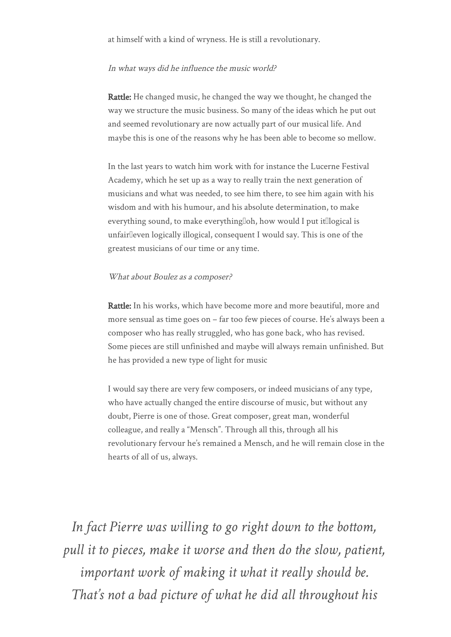at himself with a kind of wryness. He is still a revolutionary.

#### In what ways did he influence the music world?

Rattle: He changed music, he changed the way we thought, he changed the way we structure the music business. So many of the ideas which he put out and seemed revolutionary are now actually part of our musical life. And maybe this is one of the reasons why he has been able to become so mellow.

In the last years to watch him work with for instance the Lucerne Festival Academy, which he set up as a way to really train the next generation of musicians and what was needed, to see him there, to see him again with his wisdom and with his humour, and his absolute determination, to make everything sound, to make everything[loh, how would I put it[llogical is unfairleven logically illogical, consequent I would say. This is one of the greatest musicians of our time or any time.

#### What about Boulez as a composer?

Rattle: In his works, which have become more and more beautiful, more and more sensual as time goes on – far too few pieces of course. He's always been a composer who has really struggled, who has gone back, who has revised. Some pieces are still unfinished and maybe will always remain unfinished. But he has provided a new type of light for music

I would say there are very few composers, or indeed musicians of any type, who have actually changed the entire discourse of music, but without any doubt, Pierre is one of those. Great composer, great man, wonderful colleague, and really a "Mensch". Through all this, through all his revolutionary fervour he's remained a Mensch, and he will remain close in the hearts of all of us, always.

*In fact Pierre was willing to go right down to the bottom, pull it to pieces, make it worse and then do the slow, patient, important work of making it what it really should be. That's not a bad picture of what he did all throughout his*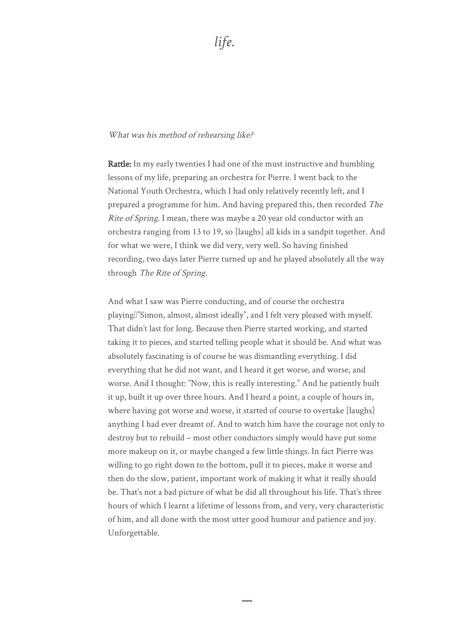#### What was his method of rehearsing like?

Rattle: In my early twenties I had one of the must instructive and humbling lessons of my life, preparing an orchestra for Pierre. I went back to the National Youth Orchestra, which I had only relatively recently left, and I prepared a programme for him. And having prepared this, then recorded The Rite of Spring. I mean, there was maybe a 20 year old conductor with an orchestra ranging from 13 to 19, so [laughs] all kids in a sandpit together. And for what we were, I think we did very, very well. So having finished recording, two days later Pierre turned up and he played absolutely all the way through The Rite of Spring.

And what I saw was Pierre conducting, and of course the orchestra playing<sup>[]"</sup>Simon, almost, almost ideally", and I felt very pleased with myself. That didn't last for long. Because then Pierre started working, and started taking it to pieces, and started telling people what it should be. And what was absolutely fascinating is of course he was dismantling everything. I did everything that he did not want, and I heard it get worse, and worse, and worse. And I thought: "Now, this is really interesting." And he patiently built it up, built it up over three hours. And I heard a point, a couple of hours in, where having got worse and worse, it started of course to overtake [laughs] anything I had ever dreamt of. And to watch him have the courage not only to destroy but to rebuild – most other conductors simply would have put some more makeup on it, or maybe changed a few little things. In fact Pierre was willing to go right down to the bottom, pull it to pieces, make it worse and then do the slow, patient, important work of making it what it really should be. That's not a bad picture of what he did all throughout his life. That's three hours of which I learnt a lifetime of lessons from, and very, very characteristic of him, and all done with the most utter good humour and patience and joy. Unforgettable.